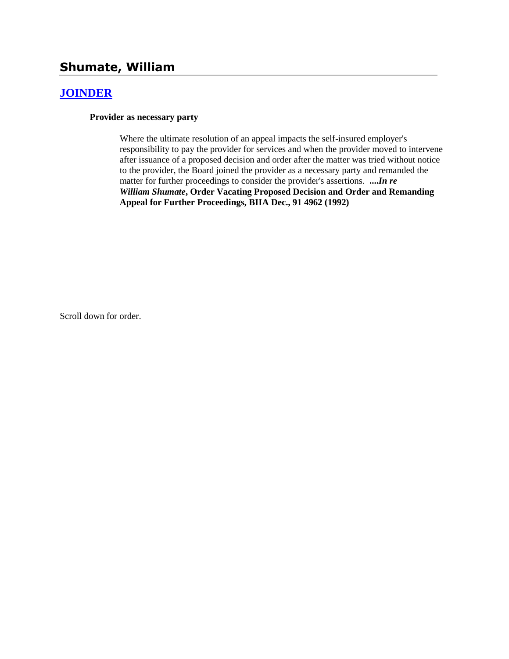# **Shumate, William**

### **[JOINDER](http://www.biia.wa.gov/SDSubjectIndex.html#JOINDER)**

**Provider as necessary party**

Where the ultimate resolution of an appeal impacts the self-insured employer's responsibility to pay the provider for services and when the provider moved to intervene after issuance of a proposed decision and order after the matter was tried without notice to the provider, the Board joined the provider as a necessary party and remanded the matter for further proceedings to consider the provider's assertions. **....***In re William Shumate***, Order Vacating Proposed Decision and Order and Remanding Appeal for Further Proceedings, BIIA Dec., 91 4962 (1992)** 

Scroll down for order.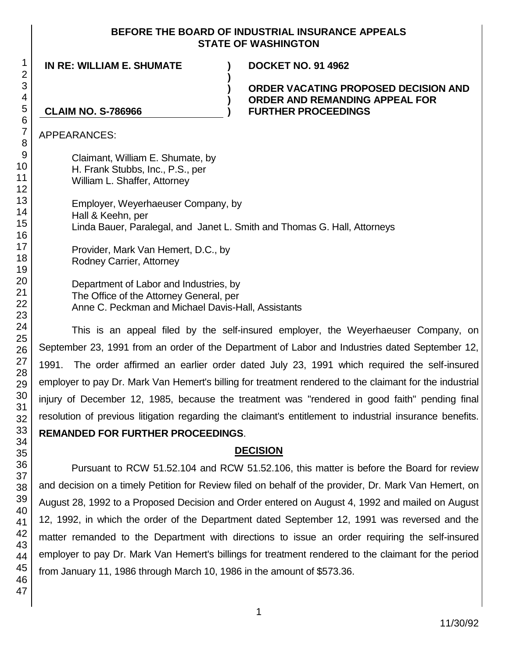#### **BEFORE THE BOARD OF INDUSTRIAL INSURANCE APPEALS STATE OF WASHINGTON**

**IN RE: WILLIAM E. SHUMATE ) DOCKET NO. 91 4962**

#### **ORDER VACATING PROPOSED DECISION AND ORDER AND REMANDING APPEAL FOR FURTHER PROCEEDINGS**

## **CLAIM NO. S-786966**

APPEARANCES:

Claimant, William E. Shumate, by H. Frank Stubbs, Inc., P.S., per William L. Shaffer, Attorney

Employer, Weyerhaeuser Company, by Hall & Keehn, per Linda Bauer, Paralegal, and Janet L. Smith and Thomas G. Hall, Attorneys

**)**

**) ) )**

Provider, Mark Van Hemert, D.C., by Rodney Carrier, Attorney

Department of Labor and Industries, by The Office of the Attorney General, per Anne C. Peckman and Michael Davis-Hall, Assistants

This is an appeal filed by the self-insured employer, the Weyerhaeuser Company, on September 23, 1991 from an order of the Department of Labor and Industries dated September 12, 1991. The order affirmed an earlier order dated July 23, 1991 which required the self-insured employer to pay Dr. Mark Van Hemert's billing for treatment rendered to the claimant for the industrial injury of December 12, 1985, because the treatment was "rendered in good faith" pending final resolution of previous litigation regarding the claimant's entitlement to industrial insurance benefits. **REMANDED FOR FURTHER PROCEEDINGS**.

## **DECISION**

Pursuant to RCW 51.52.104 and RCW 51.52.106, this matter is before the Board for review and decision on a timely Petition for Review filed on behalf of the provider, Dr. Mark Van Hemert, on August 28, 1992 to a Proposed Decision and Order entered on August 4, 1992 and mailed on August 12, 1992, in which the order of the Department dated September 12, 1991 was reversed and the matter remanded to the Department with directions to issue an order requiring the self-insured employer to pay Dr. Mark Van Hemert's billings for treatment rendered to the claimant for the period from January 11, 1986 through March 10, 1986 in the amount of \$573.36.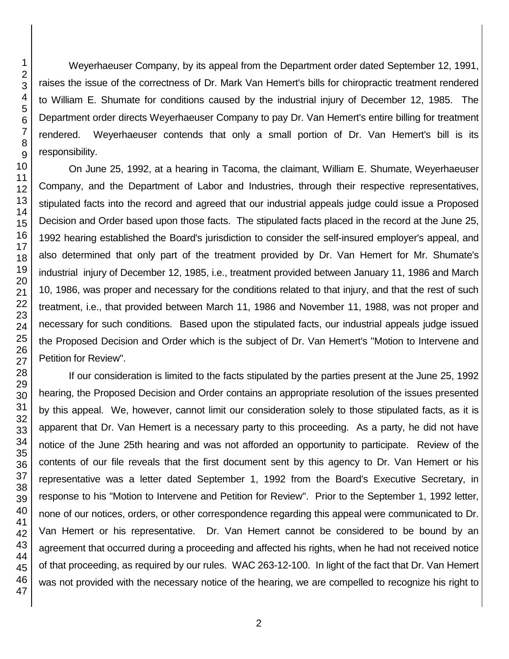Weyerhaeuser Company, by its appeal from the Department order dated September 12, 1991, raises the issue of the correctness of Dr. Mark Van Hemert's bills for chiropractic treatment rendered to William E. Shumate for conditions caused by the industrial injury of December 12, 1985. The Department order directs Weyerhaeuser Company to pay Dr. Van Hemert's entire billing for treatment rendered. Weyerhaeuser contends that only a small portion of Dr. Van Hemert's bill is its responsibility.

On June 25, 1992, at a hearing in Tacoma, the claimant, William E. Shumate, Weyerhaeuser Company, and the Department of Labor and Industries, through their respective representatives, stipulated facts into the record and agreed that our industrial appeals judge could issue a Proposed Decision and Order based upon those facts. The stipulated facts placed in the record at the June 25, 1992 hearing established the Board's jurisdiction to consider the self-insured employer's appeal, and also determined that only part of the treatment provided by Dr. Van Hemert for Mr. Shumate's industrial injury of December 12, 1985, i.e., treatment provided between January 11, 1986 and March 10, 1986, was proper and necessary for the conditions related to that injury, and that the rest of such treatment, i.e., that provided between March 11, 1986 and November 11, 1988, was not proper and necessary for such conditions. Based upon the stipulated facts, our industrial appeals judge issued the Proposed Decision and Order which is the subject of Dr. Van Hemert's "Motion to Intervene and Petition for Review".

If our consideration is limited to the facts stipulated by the parties present at the June 25, 1992 hearing, the Proposed Decision and Order contains an appropriate resolution of the issues presented by this appeal. We, however, cannot limit our consideration solely to those stipulated facts, as it is apparent that Dr. Van Hemert is a necessary party to this proceeding. As a party, he did not have notice of the June 25th hearing and was not afforded an opportunity to participate. Review of the contents of our file reveals that the first document sent by this agency to Dr. Van Hemert or his representative was a letter dated September 1, 1992 from the Board's Executive Secretary, in response to his "Motion to Intervene and Petition for Review". Prior to the September 1, 1992 letter, none of our notices, orders, or other correspondence regarding this appeal were communicated to Dr. Van Hemert or his representative. Dr. Van Hemert cannot be considered to be bound by an agreement that occurred during a proceeding and affected his rights, when he had not received notice of that proceeding, as required by our rules. WAC 263-12-100. In light of the fact that Dr. Van Hemert was not provided with the necessary notice of the hearing, we are compelled to recognize his right to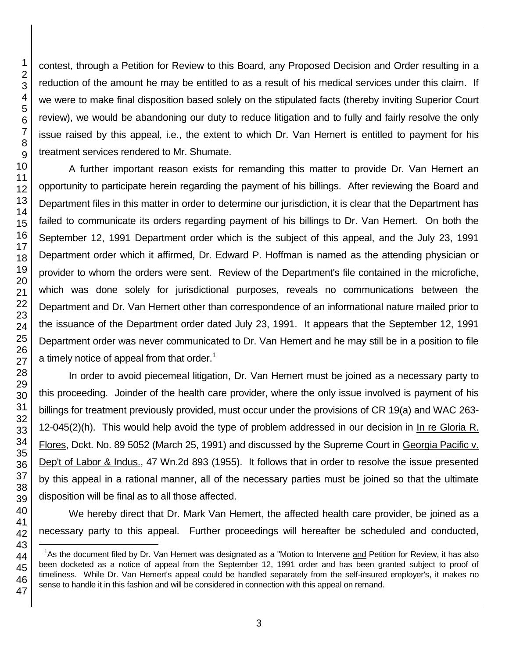l

contest, through a Petition for Review to this Board, any Proposed Decision and Order resulting in a reduction of the amount he may be entitled to as a result of his medical services under this claim. If we were to make final disposition based solely on the stipulated facts (thereby inviting Superior Court review), we would be abandoning our duty to reduce litigation and to fully and fairly resolve the only issue raised by this appeal, i.e., the extent to which Dr. Van Hemert is entitled to payment for his treatment services rendered to Mr. Shumate.

A further important reason exists for remanding this matter to provide Dr. Van Hemert an opportunity to participate herein regarding the payment of his billings. After reviewing the Board and Department files in this matter in order to determine our jurisdiction, it is clear that the Department has failed to communicate its orders regarding payment of his billings to Dr. Van Hemert. On both the September 12, 1991 Department order which is the subject of this appeal, and the July 23, 1991 Department order which it affirmed, Dr. Edward P. Hoffman is named as the attending physician or provider to whom the orders were sent. Review of the Department's file contained in the microfiche, which was done solely for jurisdictional purposes, reveals no communications between the Department and Dr. Van Hemert other than correspondence of an informational nature mailed prior to the issuance of the Department order dated July 23, 1991. It appears that the September 12, 1991 Department order was never communicated to Dr. Van Hemert and he may still be in a position to file a timely notice of appeal from that order.<sup>1</sup>

In order to avoid piecemeal litigation, Dr. Van Hemert must be joined as a necessary party to this proceeding. Joinder of the health care provider, where the only issue involved is payment of his billings for treatment previously provided, must occur under the provisions of CR 19(a) and WAC 263- 12-045(2)(h). This would help avoid the type of problem addressed in our decision in In re Gloria R. Flores, Dckt. No. 89 5052 (March 25, 1991) and discussed by the Supreme Court in Georgia Pacific v. Dep't of Labor & Indus., 47 Wn.2d 893 (1955). It follows that in order to resolve the issue presented by this appeal in a rational manner, all of the necessary parties must be joined so that the ultimate disposition will be final as to all those affected.

We hereby direct that Dr. Mark Van Hemert, the affected health care provider, be joined as a necessary party to this appeal. Further proceedings will hereafter be scheduled and conducted,

<sup>&</sup>lt;sup>1</sup>As the document filed by Dr. Van Hemert was designated as a "Motion to Intervene and Petition for Review, it has also been docketed as a notice of appeal from the September 12, 1991 order and has been granted subject to proof of timeliness. While Dr. Van Hemert's appeal could be handled separately from the self-insured employer's, it makes no sense to handle it in this fashion and will be considered in connection with this appeal on remand.